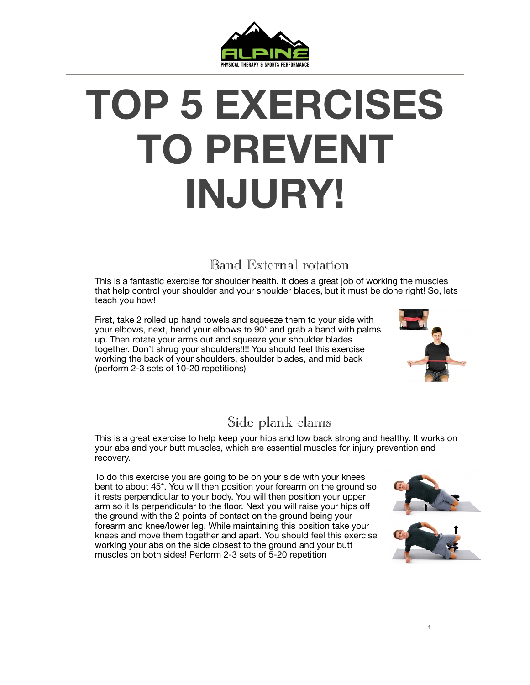

# **TOP 5 EXERCISES TO PREVENT INJURY!**

## Band External rotation

This is a fantastic exercise for shoulder health. It does a great job of working the muscles that help control your shoulder and your shoulder blades, but it must be done right! So, lets teach you how!

First, take 2 rolled up hand towels and squeeze them to your side with your elbows, next, bend your elbows to 90\* and grab a band with palms up. Then rotate your arms out and squeeze your shoulder blades together. Don't shrug your shoulders!!!! You should feel this exercise working the back of your shoulders, shoulder blades, and mid back (perform 2-3 sets of 10-20 repetitions)



### Side plank clams

This is a great exercise to help keep your hips and low back strong and healthy. It works on your abs and your butt muscles, which are essential muscles for injury prevention and recovery.

To do this exercise you are going to be on your side with your knees bent to about 45\*. You will then position your forearm on the ground so it rests perpendicular to your body. You will then position your upper arm so it Is perpendicular to the floor. Next you will raise your hips off the ground with the 2 points of contact on the ground being your forearm and knee/lower leg. While maintaining this position take your knees and move them together and apart. You should feel this exercise working your abs on the side closest to the ground and your butt muscles on both sides! Perform 2-3 sets of 5-20 repetition